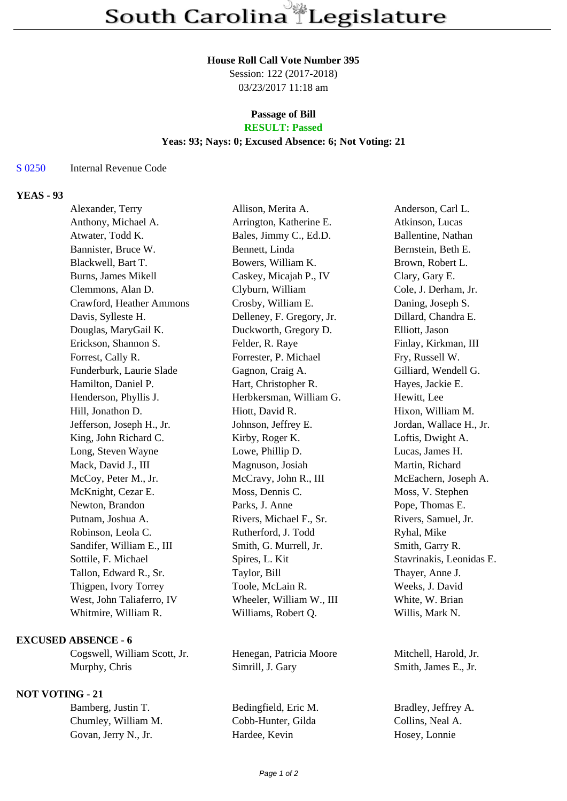#### **House Roll Call Vote Number 395**

Session: 122 (2017-2018) 03/23/2017 11:18 am

## **Passage of Bill**

# **RESULT: Passed**

### **Yeas: 93; Nays: 0; Excused Absence: 6; Not Voting: 21**

#### S 0250 Internal Revenue Code

## **YEAS - 93**

| Alexander, Terry          | Allison, Merita A.        | Anderson, Carl L.        |
|---------------------------|---------------------------|--------------------------|
| Anthony, Michael A.       | Arrington, Katherine E.   | Atkinson, Lucas          |
| Atwater, Todd K.          | Bales, Jimmy C., Ed.D.    | Ballentine, Nathan       |
| Bannister, Bruce W.       | Bennett, Linda            | Bernstein, Beth E.       |
| Blackwell, Bart T.        | Bowers, William K.        | Brown, Robert L.         |
| Burns, James Mikell       | Caskey, Micajah P., IV    | Clary, Gary E.           |
| Clemmons, Alan D.         | Clyburn, William          | Cole, J. Derham, Jr.     |
| Crawford, Heather Ammons  | Crosby, William E.        | Daning, Joseph S.        |
| Davis, Sylleste H.        | Delleney, F. Gregory, Jr. | Dillard, Chandra E.      |
| Douglas, MaryGail K.      | Duckworth, Gregory D.     | Elliott, Jason           |
| Erickson, Shannon S.      | Felder, R. Raye           | Finlay, Kirkman, III     |
| Forrest, Cally R.         | Forrester, P. Michael     | Fry, Russell W.          |
| Funderburk, Laurie Slade  | Gagnon, Craig A.          | Gilliard, Wendell G.     |
| Hamilton, Daniel P.       | Hart, Christopher R.      | Hayes, Jackie E.         |
| Henderson, Phyllis J.     | Herbkersman, William G.   | Hewitt, Lee              |
| Hill, Jonathon D.         | Hiott, David R.           | Hixon, William M.        |
| Jefferson, Joseph H., Jr. | Johnson, Jeffrey E.       | Jordan, Wallace H., Jr.  |
| King, John Richard C.     | Kirby, Roger K.           | Loftis, Dwight A.        |
| Long, Steven Wayne        | Lowe, Phillip D.          | Lucas, James H.          |
| Mack, David J., III       | Magnuson, Josiah          | Martin, Richard          |
| McCoy, Peter M., Jr.      | McCravy, John R., III     | McEachern, Joseph A.     |
| McKnight, Cezar E.        | Moss, Dennis C.           | Moss, V. Stephen         |
| Newton, Brandon           | Parks, J. Anne            | Pope, Thomas E.          |
| Putnam, Joshua A.         | Rivers, Michael F., Sr.   | Rivers, Samuel, Jr.      |
| Robinson, Leola C.        | Rutherford, J. Todd       | Ryhal, Mike              |
| Sandifer, William E., III | Smith, G. Murrell, Jr.    | Smith, Garry R.          |
| Sottile, F. Michael       | Spires, L. Kit            | Stavrinakis, Leonidas E. |
| Tallon, Edward R., Sr.    | Taylor, Bill              | Thayer, Anne J.          |
| Thigpen, Ivory Torrey     | Toole, McLain R.          | Weeks, J. David          |
| West, John Taliaferro, IV | Wheeler, William W., III  | White, W. Brian          |
| Whitmire, William R.      | Williams, Robert Q.       | Willis, Mark N.          |
|                           |                           |                          |

### **EXCUSED ABSENCE - 6**

Cogswell, William Scott, Jr. Henegan, Patricia Moore Mitchell, Harold, Jr. Murphy, Chris Simrill, J. Gary Smith, James E., Jr.

### **NOT VOTING - 21**

Bamberg, Justin T. Bedingfield, Eric M. Bradley, Jeffrey A. Chumley, William M. Cobb-Hunter, Gilda Collins, Neal A. Govan, Jerry N., Jr. Hardee, Kevin Hosey, Lonnie Govan, Jerry N., Jr. Hardee, Kevin